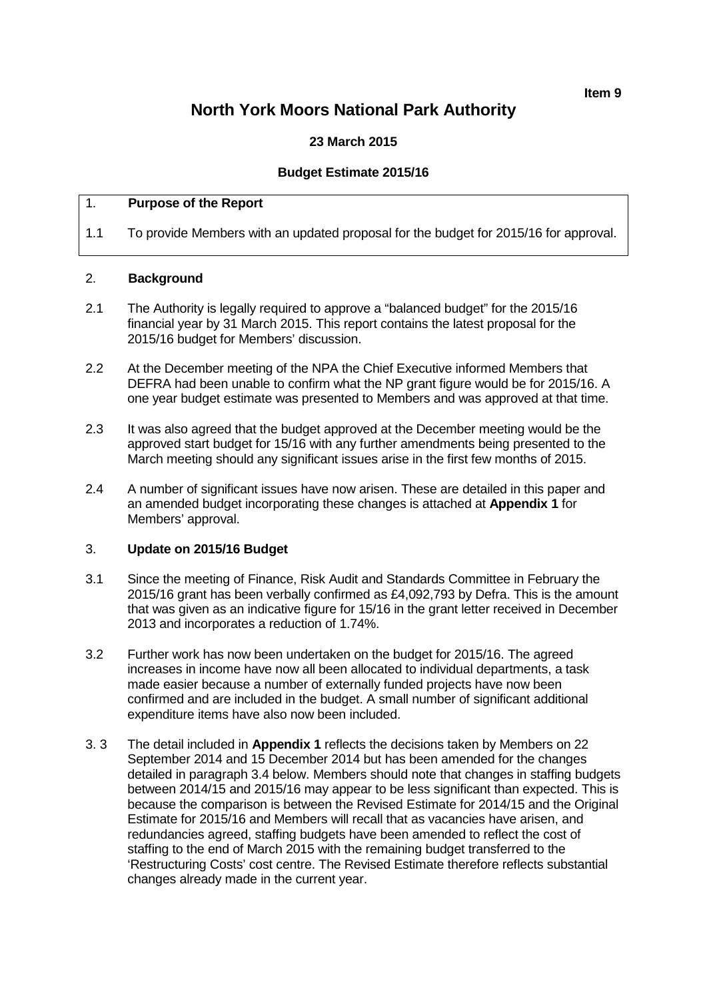**Item 9**

# **North York Moors National Park Authority**

# **23 March 2015**

# **Budget Estimate 2015/16**

# 1. **Purpose of the Report**

1.1 To provide Members with an updated proposal for the budget for 2015/16 for approval.

#### 2. **Background**

- 2.1 The Authority is legally required to approve a "balanced budget" for the 2015/16 financial year by 31 March 2015. This report contains the latest proposal for the 2015/16 budget for Members' discussion.
- 2.2 At the December meeting of the NPA the Chief Executive informed Members that DEFRA had been unable to confirm what the NP grant figure would be for 2015/16. A one year budget estimate was presented to Members and was approved at that time.
- 2.3 It was also agreed that the budget approved at the December meeting would be the approved start budget for 15/16 with any further amendments being presented to the March meeting should any significant issues arise in the first few months of 2015.
- 2.4 A number of significant issues have now arisen. These are detailed in this paper and an amended budget incorporating these changes is attached at **Appendix 1** for Members' approval.

# 3. **Update on 2015/16 Budget**

- 3.1 Since the meeting of Finance, Risk Audit and Standards Committee in February the 2015/16 grant has been verbally confirmed as £4,092,793 by Defra. This is the amount that was given as an indicative figure for 15/16 in the grant letter received in December 2013 and incorporates a reduction of 1.74%.
- 3.2 Further work has now been undertaken on the budget for 2015/16. The agreed increases in income have now all been allocated to individual departments, a task made easier because a number of externally funded projects have now been confirmed and are included in the budget. A small number of significant additional expenditure items have also now been included.
- 3. 3 The detail included in **Appendix 1** reflects the decisions taken by Members on 22 September 2014 and 15 December 2014 but has been amended for the changes detailed in paragraph 3.4 below. Members should note that changes in staffing budgets between 2014/15 and 2015/16 may appear to be less significant than expected. This is because the comparison is between the Revised Estimate for 2014/15 and the Original Estimate for 2015/16 and Members will recall that as vacancies have arisen, and redundancies agreed, staffing budgets have been amended to reflect the cost of staffing to the end of March 2015 with the remaining budget transferred to the 'Restructuring Costs' cost centre. The Revised Estimate therefore reflects substantial changes already made in the current year.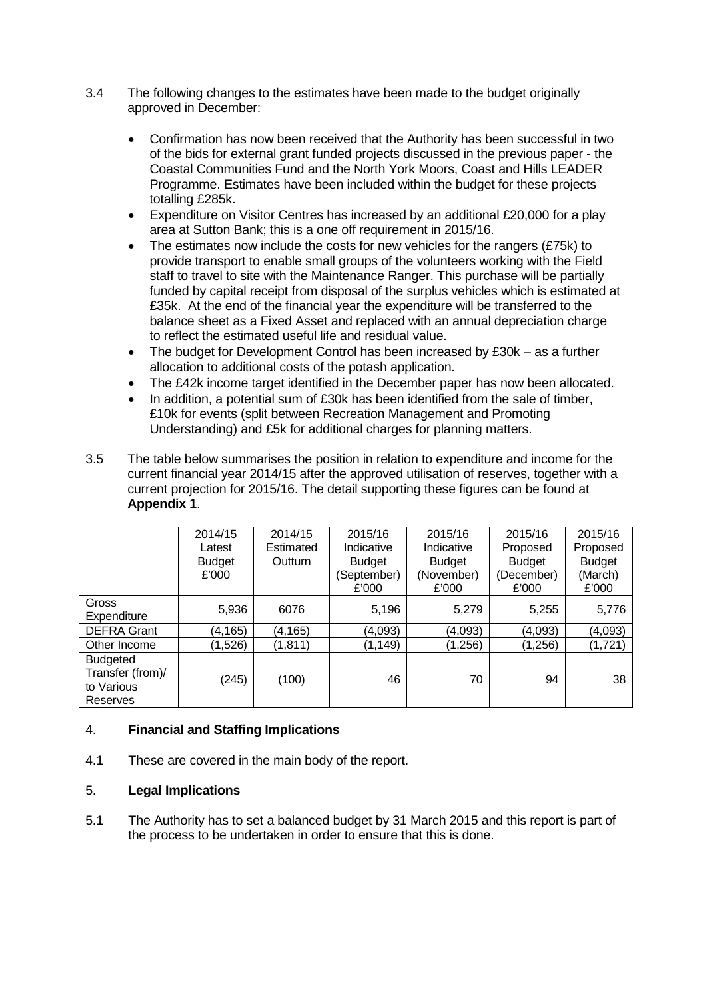- 3.4 The following changes to the estimates have been made to the budget originally approved in December:
	- Confirmation has now been received that the Authority has been successful in two of the bids for external grant funded projects discussed in the previous paper - the Coastal Communities Fund and the North York Moors, Coast and Hills LEADER Programme. Estimates have been included within the budget for these projects totalling £285k.
	- Expenditure on Visitor Centres has increased by an additional £20,000 for a play area at Sutton Bank; this is a one off requirement in 2015/16.
	- The estimates now include the costs for new vehicles for the rangers (£75k) to provide transport to enable small groups of the volunteers working with the Field staff to travel to site with the Maintenance Ranger. This purchase will be partially funded by capital receipt from disposal of the surplus vehicles which is estimated at £35k. At the end of the financial year the expenditure will be transferred to the balance sheet as a Fixed Asset and replaced with an annual depreciation charge to reflect the estimated useful life and residual value.
	- The budget for Development Control has been increased by £30k as a further allocation to additional costs of the potash application.
	- The £42k income target identified in the December paper has now been allocated.
	- In addition, a potential sum of £30k has been identified from the sale of timber, £10k for events (split between Recreation Management and Promoting Understanding) and £5k for additional charges for planning matters.
- 3.5 The table below summarises the position in relation to expenditure and income for the current financial year 2014/15 after the approved utilisation of reserves, together with a current projection for 2015/16. The detail supporting these figures can be found at **Appendix 1**.

|                    | 2014/15       | 2014/15   | 2015/16       | 2015/16       | 2015/16       | 2015/16       |
|--------------------|---------------|-----------|---------------|---------------|---------------|---------------|
|                    | Latest        | Estimated | Indicative    | Indicative    | Proposed      | Proposed      |
|                    | <b>Budget</b> | Outturn   | <b>Budget</b> | <b>Budget</b> | <b>Budget</b> | <b>Budget</b> |
|                    | £'000         |           | (September)   | (November)    | (December)    | (March)       |
|                    |               |           | £'000         | £'000         | £'000         | £'000         |
| Gross              | 5,936         | 6076      | 5,196         | 5,279         | 5,255         | 5,776         |
| Expenditure        |               |           |               |               |               |               |
| <b>DEFRA Grant</b> | (4, 165)      | (4, 165)  | (4,093)       | (4,093)       | (4,093)       | (4,093)       |
| Other Income       | (1,526)       | (1, 811)  | (1, 149)      | (1,256)       | (1,256)       | (1, 721)      |
| <b>Budgeted</b>    |               |           |               |               |               |               |
| Transfer (from)/   | (245)         | (100)     | 46            | 70            | 94            | 38            |
| to Various         |               |           |               |               |               |               |
| Reserves           |               |           |               |               |               |               |

# 4. **Financial and Staffing Implications**

4.1 These are covered in the main body of the report.

# 5. **Legal Implications**

5.1 The Authority has to set a balanced budget by 31 March 2015 and this report is part of the process to be undertaken in order to ensure that this is done.